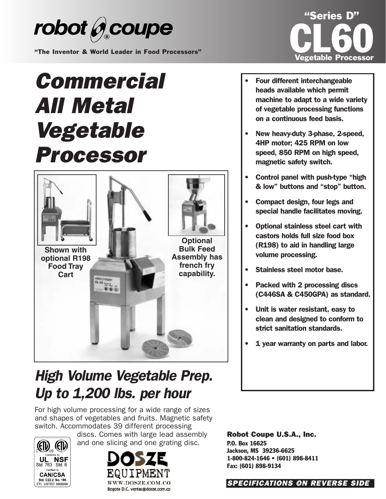

"The Inventor & World Leader in Food Processors"

## Commercial All Metal Vegetable Processor



## High Volume Vegetable Prep. Up to 1,200 lbs. per hour

For high volume processing for a wide range of sizes and shapes of vegetables and fruits. Magnetic safety switch. Accommodates 39 different processing



discs. Comes with large lead assembly and one slicing and one grating disc.





- Four different interchangeable heads available which permit machine to adapt to a wide variety of vegetable processing functions on a continuous feed basis.
- New heavy-duty 3-phase, 2-speed, 4HP motor; 425 RPM on low speed, 850 RPM on high speed, magnetic safety switch.
- Control panel with push-type "high & low" buttons and "stop" button.
- Compact design, four legs and special handle facilitates moving.
- Optional stainless steel cart with castors holds full size food box (R198) to aid in handling large volume processing.
- Stainless steel motor base.
- Packed with 2 processing discs (C446SA & C450GPA) as standard.
- Unit is water resistant, easy to clean and designed to conform to strict sanitation standards.
- 1 year warranty on parts and labor.

Robot Coupe U.S.A., Inc. P.O. Box 16625 Jackson, MS 39236-6625 1-800-824-1646 • (601) 898-8411 Fax: (601) 898-9134

#### SPECIFICATIONS ON REVERSE SIDE